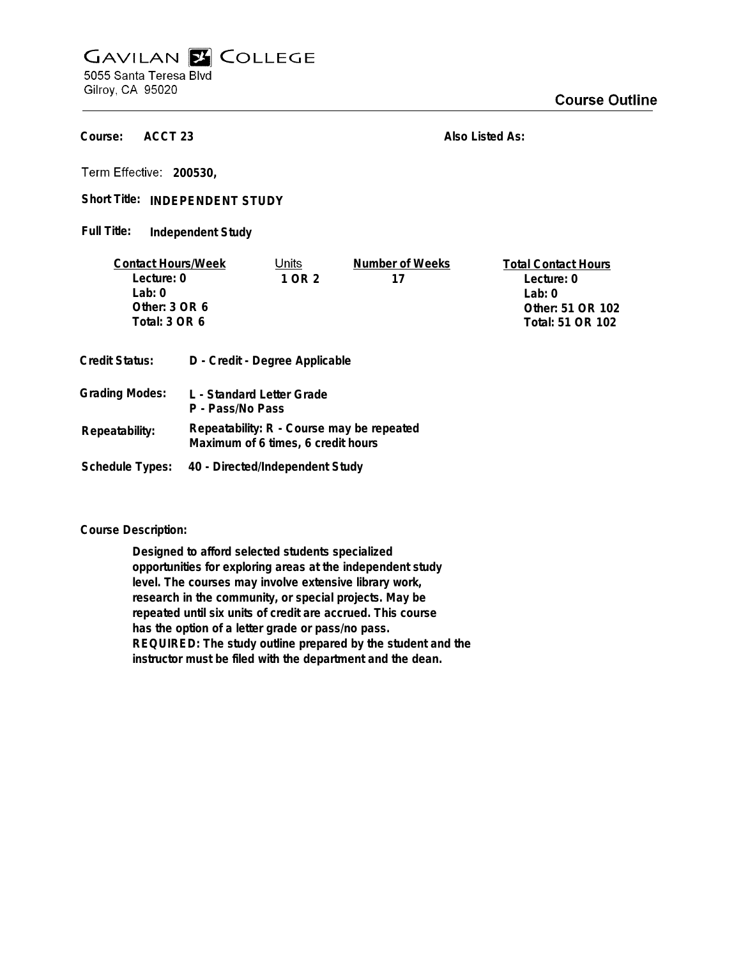## **GAVILAN E COLLEGE** 5055 Santa Teresa Blvd

Gilroy, CA 95020

**ACCT 23 Course:**

**Also Listed As:**

**200530,**

Short Title: INDEPENDENT STUDY

**Independent Study Full Title:**

| <b>Contact Hours/Week</b> |                                               | Units                              | Number of Weeks                           | <b>Total Contact Hours</b> |
|---------------------------|-----------------------------------------------|------------------------------------|-------------------------------------------|----------------------------|
| Lecture: 0                |                                               | 1 OR 2                             | 17                                        | Lecture: 0                 |
| $1$ ab: $0$               |                                               |                                    |                                           | $1$ ab: 0                  |
| Other: $3$ OR $6$         |                                               |                                    |                                           | Other: 51 OR 102           |
| Total: 3 OR 6             |                                               |                                    |                                           | Total: 51 OR 102           |
| <b>Credit Status:</b>     |                                               | D - Credit - Degree Applicable     |                                           |                            |
| <b>Grading Modes:</b>     | L - Standard Letter Grade<br>P - Pass/No Pass |                                    |                                           |                            |
| Repeatability:            |                                               | Maximum of 6 times, 6 credit hours | Repeatability: R - Course may be repeated |                            |

**Schedule Types: 40 - Directed/Independent Study**

**Course Description:**

**Designed to afford selected students specialized opportunities for exploring areas at the independent study level. The courses may involve extensive library work, research in the community, or special projects. May be repeated until six units of credit are accrued. This course has the option of a letter grade or pass/no pass. REQUIRED: The study outline prepared by the student and the instructor must be filed with the department and the dean.**